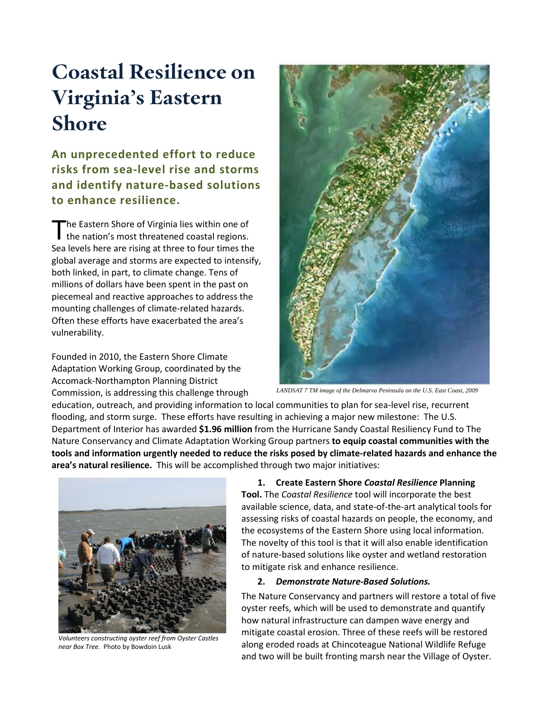# **Coastal Resilience on Virginia's Eastern Shore**

**An unprecedented effort to reduce risks from sea-level rise and storms and identify nature-based solutions to enhance resilience.**

he Eastern Shore of Virginia lies within one of The Eastern Shore of Virginia lies within one of<br>the nation's most threatened coastal regions. Sea levels here are rising at three to four times the global average and storms are expected to intensify, both linked, in part, to climate change. Tens of millions of dollars have been spent in the past on piecemeal and reactive approaches to address the mounting challenges of climate-related hazards. Often these efforts have exacerbated the area's vulnerability.

Founded in 2010, the Eastern Shore Climate Adaptation Working Group, coordinated by the Accomack-Northampton Planning District Commission, is addressing this challenge through



*LANDSAT 7 TM image of the Delmarva Peninsula on the U.S. East Coast, 2009*

education, outreach, and providing information to local communities to plan for sea-level rise, recurrent flooding, and storm surge. These efforts have resulting in achieving a major new milestone: The U.S. Department of Interior has awarded **\$1.96 million** from the Hurricane Sandy Coastal Resiliency Fund to The Nature Conservancy and Climate Adaptation Working Group partners **to equip coastal communities with the tools and information urgently needed to reduce the risks posed by climate-related hazards and enhance the area's natural resilience.** This will be accomplished through two major initiatives:



*Volunteers constructing oyster reef from Oyster Castles near Box Tree.* Photo by Bowdoin Lusk

## **1. Create Eastern Shore** *Coastal Resilience* **Planning**

**Tool.** The *Coastal Resilience* tool will incorporate the best available science, data, and state-of-the-art analytical tools for assessing risks of coastal hazards on people, the economy, and the ecosystems of the Eastern Shore using local information. The novelty of this tool is that it will also enable identification of nature-based solutions like oyster and wetland restoration to mitigate risk and enhance resilience.

### **2.** *Demonstrate Nature-Based Solutions.*

The Nature Conservancy and partners will restore a total of five oyster reefs, which will be used to demonstrate and quantify how natural infrastructure can dampen wave energy and mitigate coastal erosion. Three of these reefs will be restored along eroded roads at Chincoteague National Wildlife Refuge and two will be built fronting marsh near the Village of Oyster.